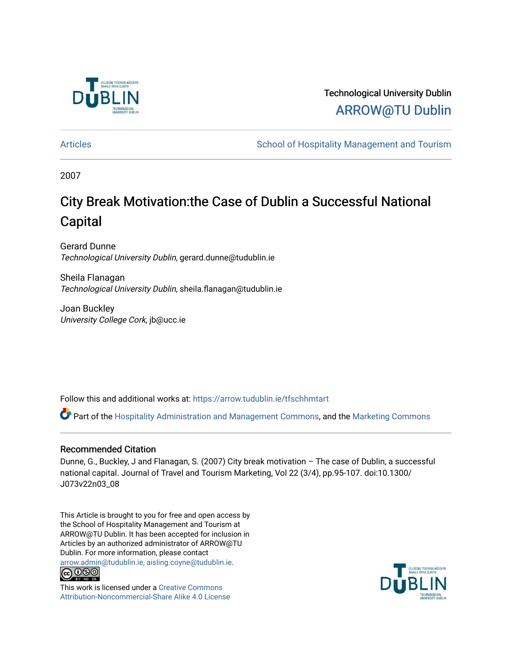

Technological University Dublin [ARROW@TU Dublin](https://arrow.tudublin.ie/) 

[Articles](https://arrow.tudublin.ie/tfschhmtart) **School of Hospitality Management and Tourism** School of Hospitality Management and Tourism

2007

# City Break Motivation:the Case of Dublin a Successful National **Capital**

Gerard Dunne Technological University Dublin, gerard.dunne@tudublin.ie

Sheila Flanagan Technological University Dublin, sheila.flanagan@tudublin.ie

Joan Buckley University College Cork, jb@ucc.ie

Follow this and additional works at: [https://arrow.tudublin.ie/tfschhmtart](https://arrow.tudublin.ie/tfschhmtart?utm_source=arrow.tudublin.ie%2Ftfschhmtart%2F23&utm_medium=PDF&utm_campaign=PDFCoverPages) 

Part of the [Hospitality Administration and Management Commons,](http://network.bepress.com/hgg/discipline/632?utm_source=arrow.tudublin.ie%2Ftfschhmtart%2F23&utm_medium=PDF&utm_campaign=PDFCoverPages) and the [Marketing Commons](http://network.bepress.com/hgg/discipline/638?utm_source=arrow.tudublin.ie%2Ftfschhmtart%2F23&utm_medium=PDF&utm_campaign=PDFCoverPages) 

# Recommended Citation

Dunne, G., Buckley, J and Flanagan, S. (2007) City break motivation – The case of Dublin, a successful national capital. Journal of Travel and Tourism Marketing, Vol 22 (3/4), pp.95-107. doi:10.1300/ J073v22n03\_08

This Article is brought to you for free and open access by the School of Hospitality Management and Tourism at ARROW@TU Dublin. It has been accepted for inclusion in Articles by an authorized administrator of ARROW@TU Dublin. For more information, please contact [arrow.admin@tudublin.ie, aisling.coyne@tudublin.ie](mailto:arrow.admin@tudublin.ie,%20aisling.coyne@tudublin.ie).



This work is licensed under a [Creative Commons](http://creativecommons.org/licenses/by-nc-sa/4.0/) [Attribution-Noncommercial-Share Alike 4.0 License](http://creativecommons.org/licenses/by-nc-sa/4.0/)

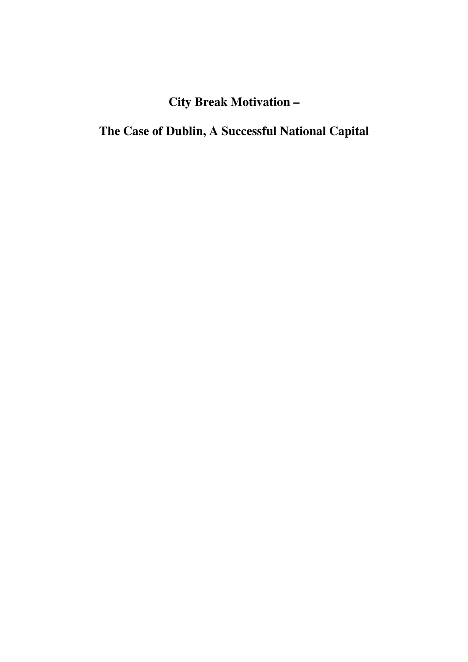**City Break Motivation –** 

**The Case of Dublin, A Successful National Capital**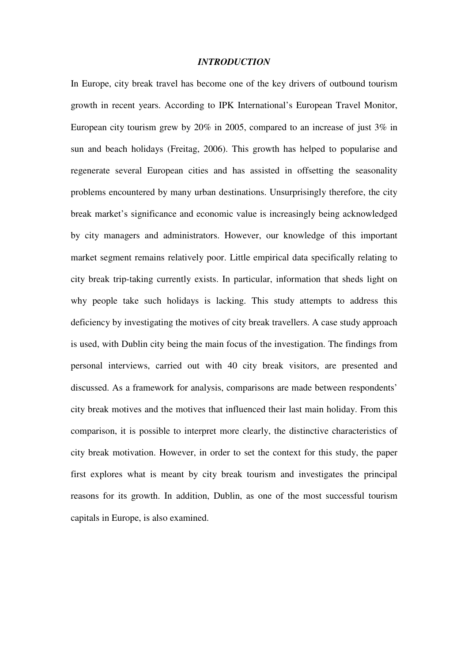#### *INTRODUCTION*

In Europe, city break travel has become one of the key drivers of outbound tourism growth in recent years. According to IPK International's European Travel Monitor, European city tourism grew by 20% in 2005, compared to an increase of just 3% in sun and beach holidays (Freitag, 2006). This growth has helped to popularise and regenerate several European cities and has assisted in offsetting the seasonality problems encountered by many urban destinations. Unsurprisingly therefore, the city break market's significance and economic value is increasingly being acknowledged by city managers and administrators. However, our knowledge of this important market segment remains relatively poor. Little empirical data specifically relating to city break trip-taking currently exists. In particular, information that sheds light on why people take such holidays is lacking. This study attempts to address this deficiency by investigating the motives of city break travellers. A case study approach is used, with Dublin city being the main focus of the investigation. The findings from personal interviews, carried out with 40 city break visitors, are presented and discussed. As a framework for analysis, comparisons are made between respondents' city break motives and the motives that influenced their last main holiday. From this comparison, it is possible to interpret more clearly, the distinctive characteristics of city break motivation. However, in order to set the context for this study, the paper first explores what is meant by city break tourism and investigates the principal reasons for its growth. In addition, Dublin, as one of the most successful tourism capitals in Europe, is also examined.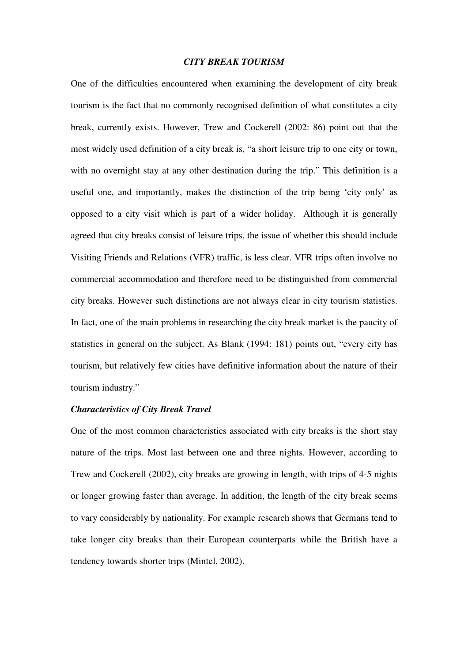#### *CITY BREAK TOURISM*

One of the difficulties encountered when examining the development of city break tourism is the fact that no commonly recognised definition of what constitutes a city break, currently exists. However, Trew and Cockerell (2002: 86) point out that the most widely used definition of a city break is, "a short leisure trip to one city or town, with no overnight stay at any other destination during the trip." This definition is a useful one, and importantly, makes the distinction of the trip being 'city only' as opposed to a city visit which is part of a wider holiday. Although it is generally agreed that city breaks consist of leisure trips, the issue of whether this should include Visiting Friends and Relations (VFR) traffic, is less clear. VFR trips often involve no commercial accommodation and therefore need to be distinguished from commercial city breaks. However such distinctions are not always clear in city tourism statistics. In fact, one of the main problems in researching the city break market is the paucity of statistics in general on the subject. As Blank (1994: 181) points out, "every city has tourism, but relatively few cities have definitive information about the nature of their tourism industry."

# *Characteristics of City Break Travel*

One of the most common characteristics associated with city breaks is the short stay nature of the trips. Most last between one and three nights. However, according to Trew and Cockerell (2002), city breaks are growing in length, with trips of 4-5 nights or longer growing faster than average. In addition, the length of the city break seems to vary considerably by nationality. For example research shows that Germans tend to take longer city breaks than their European counterparts while the British have a tendency towards shorter trips (Mintel, 2002).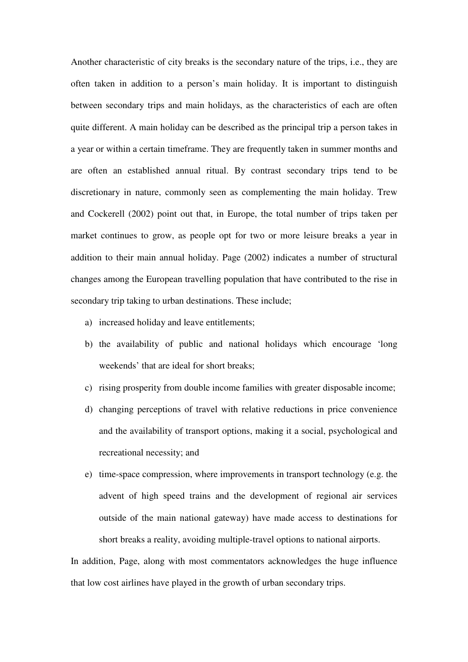Another characteristic of city breaks is the secondary nature of the trips, i.e., they are often taken in addition to a person's main holiday. It is important to distinguish between secondary trips and main holidays, as the characteristics of each are often quite different. A main holiday can be described as the principal trip a person takes in a year or within a certain timeframe. They are frequently taken in summer months and are often an established annual ritual. By contrast secondary trips tend to be discretionary in nature, commonly seen as complementing the main holiday. Trew and Cockerell (2002) point out that, in Europe, the total number of trips taken per market continues to grow, as people opt for two or more leisure breaks a year in addition to their main annual holiday. Page (2002) indicates a number of structural changes among the European travelling population that have contributed to the rise in secondary trip taking to urban destinations. These include;

- a) increased holiday and leave entitlements;
- b) the availability of public and national holidays which encourage 'long weekends' that are ideal for short breaks;
- c) rising prosperity from double income families with greater disposable income;
- d) changing perceptions of travel with relative reductions in price convenience and the availability of transport options, making it a social, psychological and recreational necessity; and
- e) time-space compression, where improvements in transport technology (e.g. the advent of high speed trains and the development of regional air services outside of the main national gateway) have made access to destinations for short breaks a reality, avoiding multiple-travel options to national airports.

In addition, Page, along with most commentators acknowledges the huge influence that low cost airlines have played in the growth of urban secondary trips.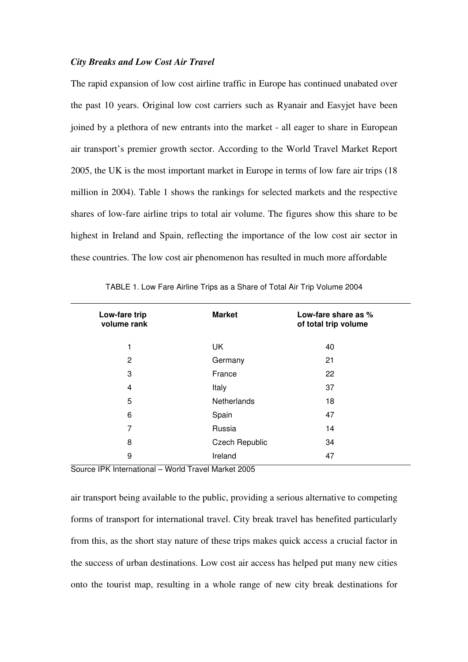#### *City Breaks and Low Cost Air Travel*

The rapid expansion of low cost airline traffic in Europe has continued unabated over the past 10 years. Original low cost carriers such as Ryanair and Easyjet have been joined by a plethora of new entrants into the market - all eager to share in European air transport's premier growth sector. According to the World Travel Market Report 2005, the UK is the most important market in Europe in terms of low fare air trips (18 million in 2004). Table 1 shows the rankings for selected markets and the respective shares of low-fare airline trips to total air volume. The figures show this share to be highest in Ireland and Spain, reflecting the importance of the low cost air sector in these countries. The low cost air phenomenon has resulted in much more affordable

| Low-fare trip<br>volume rank | <b>Market</b>         | Low-fare share as %<br>of total trip volume |  |
|------------------------------|-----------------------|---------------------------------------------|--|
| 1                            | <b>UK</b>             | 40                                          |  |
| $\overline{2}$               | Germany               | 21                                          |  |
| 3                            | France                | 22                                          |  |
| 4                            | Italy                 | 37                                          |  |
| 5                            | Netherlands           | 18                                          |  |
| 6                            | Spain                 | 47                                          |  |
| 7                            | Russia                | 14                                          |  |
| 8                            | <b>Czech Republic</b> | 34                                          |  |
| 9                            | Ireland               | 47                                          |  |
|                              |                       |                                             |  |

TABLE 1. Low Fare Airline Trips as a Share of Total Air Trip Volume 2004

Source IPK International – World Travel Market 2005

air transport being available to the public, providing a serious alternative to competing forms of transport for international travel. City break travel has benefited particularly from this, as the short stay nature of these trips makes quick access a crucial factor in the success of urban destinations. Low cost air access has helped put many new cities onto the tourist map, resulting in a whole range of new city break destinations for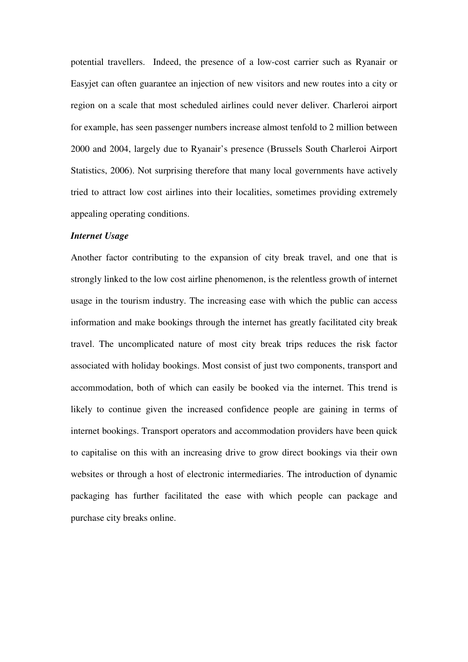potential travellers. Indeed, the presence of a low-cost carrier such as Ryanair or Easyjet can often guarantee an injection of new visitors and new routes into a city or region on a scale that most scheduled airlines could never deliver. Charleroi airport for example, has seen passenger numbers increase almost tenfold to 2 million between 2000 and 2004, largely due to Ryanair's presence (Brussels South Charleroi Airport Statistics, 2006). Not surprising therefore that many local governments have actively tried to attract low cost airlines into their localities, sometimes providing extremely appealing operating conditions.

#### *Internet Usage*

Another factor contributing to the expansion of city break travel, and one that is strongly linked to the low cost airline phenomenon, is the relentless growth of internet usage in the tourism industry. The increasing ease with which the public can access information and make bookings through the internet has greatly facilitated city break travel. The uncomplicated nature of most city break trips reduces the risk factor associated with holiday bookings. Most consist of just two components, transport and accommodation, both of which can easily be booked via the internet. This trend is likely to continue given the increased confidence people are gaining in terms of internet bookings. Transport operators and accommodation providers have been quick to capitalise on this with an increasing drive to grow direct bookings via their own websites or through a host of electronic intermediaries. The introduction of dynamic packaging has further facilitated the ease with which people can package and purchase city breaks online.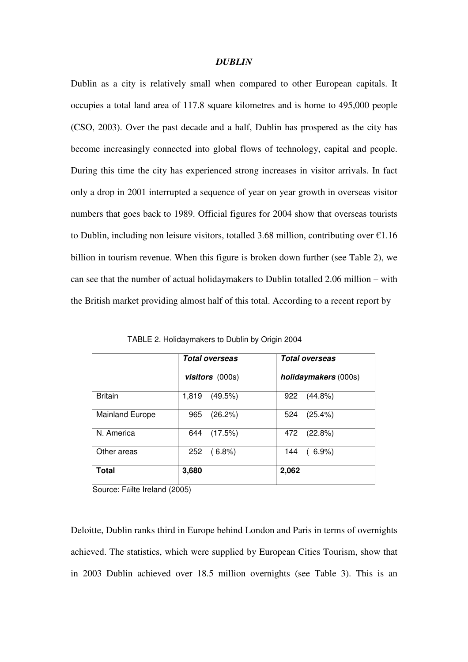#### *DUBLIN*

Dublin as a city is relatively small when compared to other European capitals. It occupies a total land area of 117.8 square kilometres and is home to 495,000 people (CSO, 2003). Over the past decade and a half, Dublin has prospered as the city has become increasingly connected into global flows of technology, capital and people. During this time the city has experienced strong increases in visitor arrivals. In fact only a drop in 2001 interrupted a sequence of year on year growth in overseas visitor numbers that goes back to 1989. Official figures for 2004 show that overseas tourists to Dublin, including non leisure visitors, totalled 3.68 million, contributing over  $\epsilon$ 1.16 billion in tourism revenue. When this figure is broken down further (see Table 2), we can see that the number of actual holidaymakers to Dublin totalled 2.06 million – with the British market providing almost half of this total. According to a recent report by

|                        | <b>Total overseas</b><br>visitors $(000s)$ | <b>Total overseas</b><br>holidaymakers (000s) |
|------------------------|--------------------------------------------|-----------------------------------------------|
| <b>Britain</b>         | 1,819<br>(49.5%)                           | 922<br>$(44.8\%)$                             |
| <b>Mainland Europe</b> | (26.2%)<br>965                             | 524<br>(25.4%)                                |
| N. America             | (17.5%)<br>644                             | 472<br>(22.8%)                                |
| Other areas            | 252<br>$(6.8\%)$                           | 144<br>6.9%                                   |
| <b>Total</b>           | 3,680                                      | 2,062                                         |

TABLE 2. Holidaymakers to Dublin by Origin 2004

Source: Fáilte Ireland (2005)

Deloitte, Dublin ranks third in Europe behind London and Paris in terms of overnights achieved. The statistics, which were supplied by European Cities Tourism, show that in 2003 Dublin achieved over 18.5 million overnights (see Table 3). This is an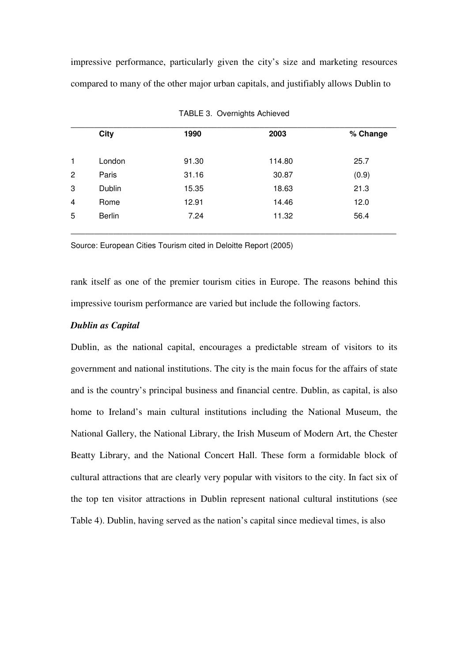impressive performance, particularly given the city's size and marketing resources compared to many of the other major urban capitals, and justifiably allows Dublin to

|                | <b>City</b> | 1990  | 2003   | % Change |
|----------------|-------------|-------|--------|----------|
| $\mathbf{1}$   | London      | 91.30 | 114.80 | 25.7     |
| $\overline{2}$ | Paris       | 31.16 | 30.87  | (0.9)    |
| 3              | Dublin      | 15.35 | 18.63  | 21.3     |
| 4              | Rome        | 12.91 | 14.46  | 12.0     |
| 5              | Berlin      | 7.24  | 11.32  | 56.4     |

TABLE 3. Overnights Achieved

Source: European Cities Tourism cited in Deloitte Report (2005)

rank itself as one of the premier tourism cities in Europe. The reasons behind this impressive tourism performance are varied but include the following factors.

# *Dublin as Capital*

Dublin, as the national capital, encourages a predictable stream of visitors to its government and national institutions. The city is the main focus for the affairs of state and is the country's principal business and financial centre. Dublin, as capital, is also home to Ireland's main cultural institutions including the National Museum, the National Gallery, the National Library, the Irish Museum of Modern Art, the Chester Beatty Library, and the National Concert Hall. These form a formidable block of cultural attractions that are clearly very popular with visitors to the city. In fact six of the top ten visitor attractions in Dublin represent national cultural institutions (see Table 4). Dublin, having served as the nation's capital since medieval times, is also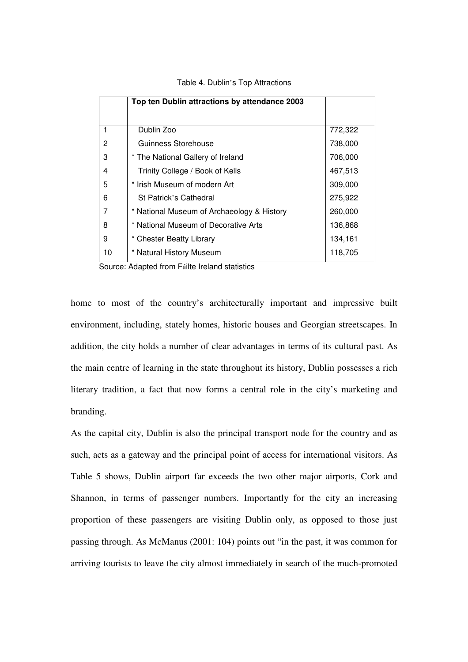|    | Top ten Dublin attractions by attendance 2003 |         |
|----|-----------------------------------------------|---------|
|    |                                               |         |
| 1  | Dublin Zoo                                    | 772,322 |
| 2  | Guinness Storehouse                           | 738,000 |
| 3  | * The National Gallery of Ireland             | 706,000 |
| 4  | Trinity College / Book of Kells               | 467,513 |
| 5  | * Irish Museum of modern Art                  | 309,000 |
| 6  | St Patrick's Cathedral                        | 275,922 |
| 7  | * National Museum of Archaeology & History    | 260,000 |
| 8  | * National Museum of Decorative Arts          | 136,868 |
| 9  | * Chester Beatty Library                      | 134,161 |
| 10 | * Natural History Museum                      | 118,705 |

Table 4. Dublin's Top Attractions

Source: Adapted from Fáilte Ireland statistics

home to most of the country's architecturally important and impressive built environment, including, stately homes, historic houses and Georgian streetscapes. In addition, the city holds a number of clear advantages in terms of its cultural past. As the main centre of learning in the state throughout its history, Dublin possesses a rich literary tradition, a fact that now forms a central role in the city's marketing and branding.

As the capital city, Dublin is also the principal transport node for the country and as such, acts as a gateway and the principal point of access for international visitors. As Table 5 shows, Dublin airport far exceeds the two other major airports, Cork and Shannon, in terms of passenger numbers. Importantly for the city an increasing proportion of these passengers are visiting Dublin only, as opposed to those just passing through. As McManus (2001: 104) points out "in the past, it was common for arriving tourists to leave the city almost immediately in search of the much-promoted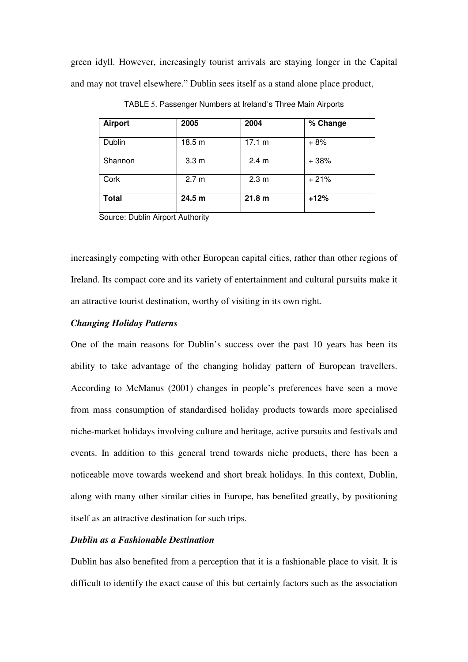green idyll. However, increasingly tourist arrivals are staying longer in the Capital and may not travel elsewhere." Dublin sees itself as a stand alone place product,

| <b>Airport</b> | 2005             | 2004             | % Change |
|----------------|------------------|------------------|----------|
| Dublin         | 18.5 m           | 17.1 m           | $+8%$    |
| Shannon        | 3.3 <sub>m</sub> | 2.4 <sub>m</sub> | $+38%$   |
| Cork           | 2.7 m            | 2.3 <sub>m</sub> | $+21%$   |
| <b>Total</b>   | 24.5 m           | 21.8 m           | $+12%$   |

TABLE 5. Passenger Numbers at Ireland's Three Main Airports

Source: Dublin Airport Authority

increasingly competing with other European capital cities, rather than other regions of Ireland. Its compact core and its variety of entertainment and cultural pursuits make it an attractive tourist destination, worthy of visiting in its own right.

# *Changing Holiday Patterns*

One of the main reasons for Dublin's success over the past 10 years has been its ability to take advantage of the changing holiday pattern of European travellers. According to McManus (2001) changes in people's preferences have seen a move from mass consumption of standardised holiday products towards more specialised niche-market holidays involving culture and heritage, active pursuits and festivals and events. In addition to this general trend towards niche products, there has been a noticeable move towards weekend and short break holidays. In this context, Dublin, along with many other similar cities in Europe, has benefited greatly, by positioning itself as an attractive destination for such trips.

# *Dublin as a Fashionable Destination*

Dublin has also benefited from a perception that it is a fashionable place to visit. It is difficult to identify the exact cause of this but certainly factors such as the association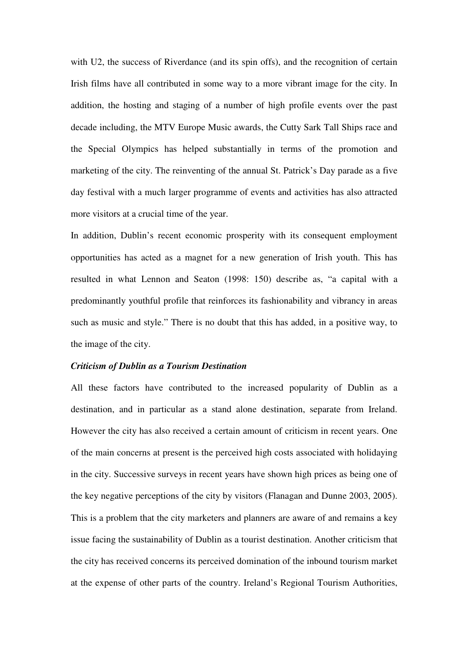with U2, the success of Riverdance (and its spin offs), and the recognition of certain Irish films have all contributed in some way to a more vibrant image for the city. In addition, the hosting and staging of a number of high profile events over the past decade including, the MTV Europe Music awards, the Cutty Sark Tall Ships race and the Special Olympics has helped substantially in terms of the promotion and marketing of the city. The reinventing of the annual St. Patrick's Day parade as a five day festival with a much larger programme of events and activities has also attracted more visitors at a crucial time of the year.

In addition, Dublin's recent economic prosperity with its consequent employment opportunities has acted as a magnet for a new generation of Irish youth. This has resulted in what Lennon and Seaton (1998: 150) describe as, "a capital with a predominantly youthful profile that reinforces its fashionability and vibrancy in areas such as music and style." There is no doubt that this has added, in a positive way, to the image of the city.

## *Criticism of Dublin as a Tourism Destination*

All these factors have contributed to the increased popularity of Dublin as a destination, and in particular as a stand alone destination, separate from Ireland. However the city has also received a certain amount of criticism in recent years. One of the main concerns at present is the perceived high costs associated with holidaying in the city. Successive surveys in recent years have shown high prices as being one of the key negative perceptions of the city by visitors (Flanagan and Dunne 2003, 2005). This is a problem that the city marketers and planners are aware of and remains a key issue facing the sustainability of Dublin as a tourist destination. Another criticism that the city has received concerns its perceived domination of the inbound tourism market at the expense of other parts of the country. Ireland's Regional Tourism Authorities,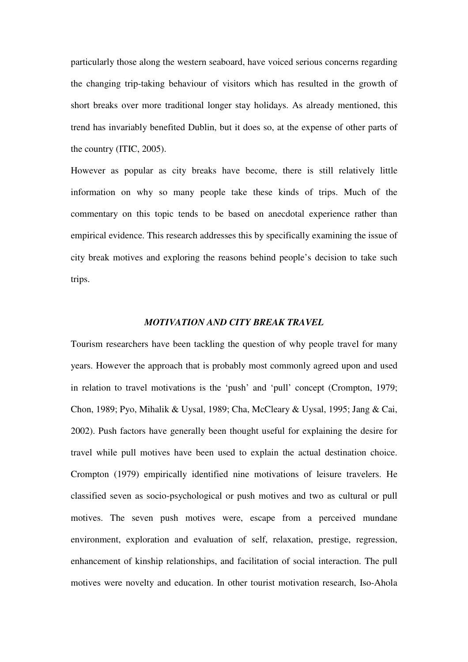particularly those along the western seaboard, have voiced serious concerns regarding the changing trip-taking behaviour of visitors which has resulted in the growth of short breaks over more traditional longer stay holidays. As already mentioned, this trend has invariably benefited Dublin, but it does so, at the expense of other parts of the country (ITIC, 2005).

However as popular as city breaks have become, there is still relatively little information on why so many people take these kinds of trips. Much of the commentary on this topic tends to be based on anecdotal experience rather than empirical evidence. This research addresses this by specifically examining the issue of city break motives and exploring the reasons behind people's decision to take such trips.

## *MOTIVATION AND CITY BREAK TRAVEL*

Tourism researchers have been tackling the question of why people travel for many years. However the approach that is probably most commonly agreed upon and used in relation to travel motivations is the 'push' and 'pull' concept (Crompton, 1979; Chon, 1989; Pyo, Mihalik & Uysal, 1989; Cha, McCleary & Uysal, 1995; Jang & Cai, 2002). Push factors have generally been thought useful for explaining the desire for travel while pull motives have been used to explain the actual destination choice. Crompton (1979) empirically identified nine motivations of leisure travelers. He classified seven as socio-psychological or push motives and two as cultural or pull motives. The seven push motives were, escape from a perceived mundane environment, exploration and evaluation of self, relaxation, prestige, regression, enhancement of kinship relationships, and facilitation of social interaction. The pull motives were novelty and education. In other tourist motivation research, Iso-Ahola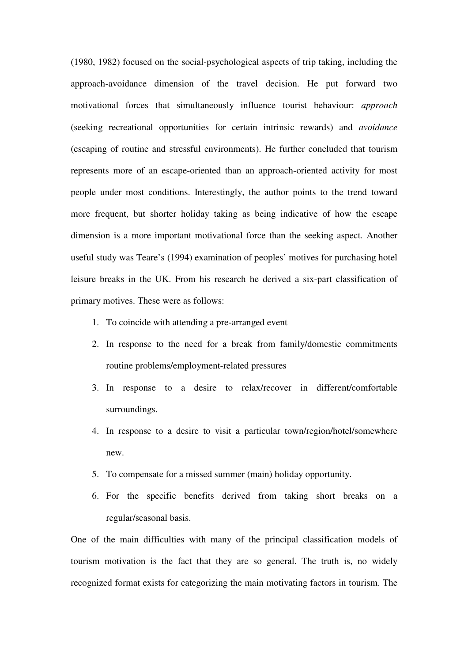(1980, 1982) focused on the social-psychological aspects of trip taking, including the approach-avoidance dimension of the travel decision. He put forward two motivational forces that simultaneously influence tourist behaviour: *approach* (seeking recreational opportunities for certain intrinsic rewards) and *avoidance* (escaping of routine and stressful environments). He further concluded that tourism represents more of an escape-oriented than an approach-oriented activity for most people under most conditions. Interestingly, the author points to the trend toward more frequent, but shorter holiday taking as being indicative of how the escape dimension is a more important motivational force than the seeking aspect. Another useful study was Teare's (1994) examination of peoples' motives for purchasing hotel leisure breaks in the UK. From his research he derived a six-part classification of primary motives. These were as follows:

- 1. To coincide with attending a pre-arranged event
- 2. In response to the need for a break from family/domestic commitments routine problems/employment-related pressures
- 3. In response to a desire to relax/recover in different/comfortable surroundings.
- 4. In response to a desire to visit a particular town/region/hotel/somewhere new.
- 5. To compensate for a missed summer (main) holiday opportunity.
- 6. For the specific benefits derived from taking short breaks on a regular/seasonal basis.

One of the main difficulties with many of the principal classification models of tourism motivation is the fact that they are so general. The truth is, no widely recognized format exists for categorizing the main motivating factors in tourism. The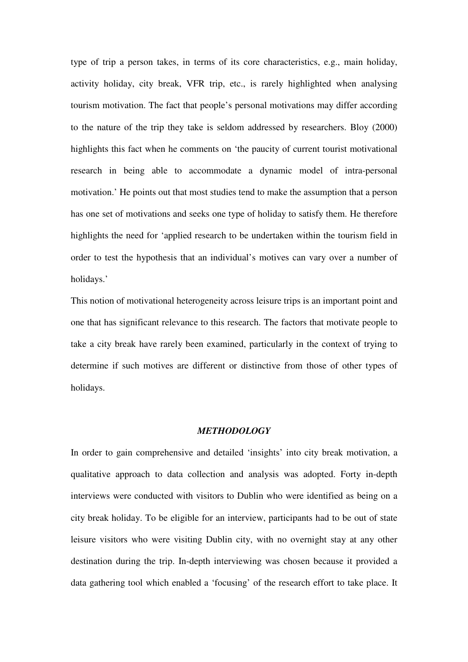type of trip a person takes, in terms of its core characteristics, e.g., main holiday, activity holiday, city break, VFR trip, etc., is rarely highlighted when analysing tourism motivation. The fact that people's personal motivations may differ according to the nature of the trip they take is seldom addressed by researchers. Bloy (2000) highlights this fact when he comments on 'the paucity of current tourist motivational research in being able to accommodate a dynamic model of intra-personal motivation.' He points out that most studies tend to make the assumption that a person has one set of motivations and seeks one type of holiday to satisfy them. He therefore highlights the need for 'applied research to be undertaken within the tourism field in order to test the hypothesis that an individual's motives can vary over a number of holidays.'

This notion of motivational heterogeneity across leisure trips is an important point and one that has significant relevance to this research. The factors that motivate people to take a city break have rarely been examined, particularly in the context of trying to determine if such motives are different or distinctive from those of other types of holidays.

#### *METHODOLOGY*

In order to gain comprehensive and detailed 'insights' into city break motivation, a qualitative approach to data collection and analysis was adopted. Forty in-depth interviews were conducted with visitors to Dublin who were identified as being on a city break holiday. To be eligible for an interview, participants had to be out of state leisure visitors who were visiting Dublin city, with no overnight stay at any other destination during the trip. In-depth interviewing was chosen because it provided a data gathering tool which enabled a 'focusing' of the research effort to take place. It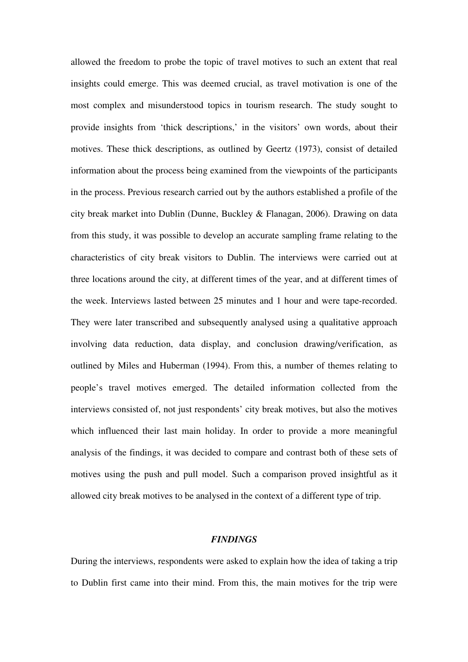allowed the freedom to probe the topic of travel motives to such an extent that real insights could emerge. This was deemed crucial, as travel motivation is one of the most complex and misunderstood topics in tourism research. The study sought to provide insights from 'thick descriptions,' in the visitors' own words, about their motives. These thick descriptions, as outlined by Geertz (1973), consist of detailed information about the process being examined from the viewpoints of the participants in the process. Previous research carried out by the authors established a profile of the city break market into Dublin (Dunne, Buckley & Flanagan, 2006). Drawing on data from this study, it was possible to develop an accurate sampling frame relating to the characteristics of city break visitors to Dublin. The interviews were carried out at three locations around the city, at different times of the year, and at different times of the week. Interviews lasted between 25 minutes and 1 hour and were tape-recorded. They were later transcribed and subsequently analysed using a qualitative approach involving data reduction, data display, and conclusion drawing/verification, as outlined by Miles and Huberman (1994). From this, a number of themes relating to people's travel motives emerged. The detailed information collected from the interviews consisted of, not just respondents' city break motives, but also the motives which influenced their last main holiday. In order to provide a more meaningful analysis of the findings, it was decided to compare and contrast both of these sets of motives using the push and pull model. Such a comparison proved insightful as it allowed city break motives to be analysed in the context of a different type of trip.

# *FINDINGS*

During the interviews, respondents were asked to explain how the idea of taking a trip to Dublin first came into their mind. From this, the main motives for the trip were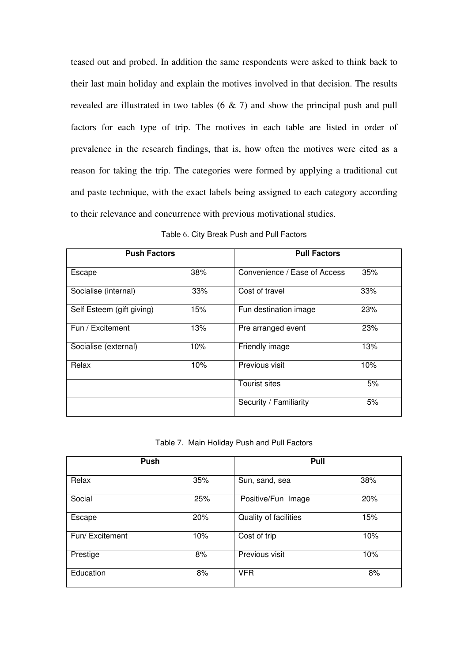teased out and probed. In addition the same respondents were asked to think back to their last main holiday and explain the motives involved in that decision. The results revealed are illustrated in two tables (6 & 7) and show the principal push and pull factors for each type of trip. The motives in each table are listed in order of prevalence in the research findings, that is, how often the motives were cited as a reason for taking the trip. The categories were formed by applying a traditional cut and paste technique, with the exact labels being assigned to each category according to their relevance and concurrence with previous motivational studies.

| <b>Push Factors</b>       |     | <b>Pull Factors</b>          |     |
|---------------------------|-----|------------------------------|-----|
| Escape                    | 38% | Convenience / Ease of Access | 35% |
| Socialise (internal)      | 33% | Cost of travel               | 33% |
| Self Esteem (gift giving) | 15% | Fun destination image        | 23% |
| Fun / Excitement          | 13% | Pre arranged event           | 23% |
| Socialise (external)      | 10% | Friendly image               | 13% |
| Relax                     | 10% | Previous visit               | 10% |
|                           |     | <b>Tourist sites</b>         | 5%  |
|                           |     | Security / Familiarity       | 5%  |

Table 6. City Break Push and Pull Factors

## Table 7. Main Holiday Push and Pull Factors

| <b>Push</b>     |     | Pull                  |     |
|-----------------|-----|-----------------------|-----|
| Relax           | 35% | Sun, sand, sea        | 38% |
| Social          | 25% | Positive/Fun Image    | 20% |
| Escape          | 20% | Quality of facilities | 15% |
| Fun/ Excitement | 10% | Cost of trip          | 10% |
| Prestige        | 8%  | Previous visit        | 10% |
| Education       | 8%  | <b>VFR</b>            | 8%  |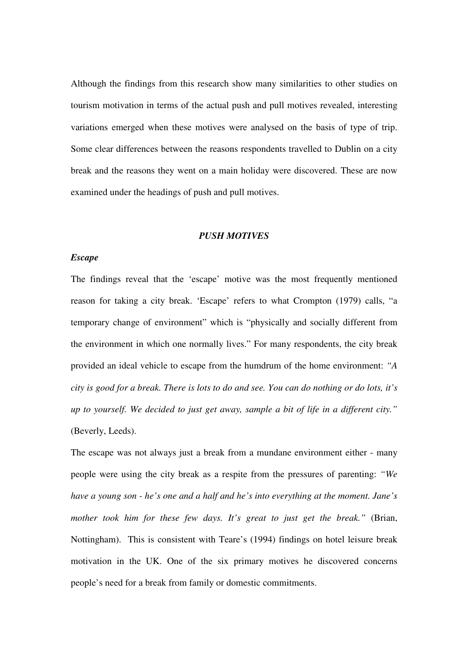Although the findings from this research show many similarities to other studies on tourism motivation in terms of the actual push and pull motives revealed, interesting variations emerged when these motives were analysed on the basis of type of trip. Some clear differences between the reasons respondents travelled to Dublin on a city break and the reasons they went on a main holiday were discovered. These are now examined under the headings of push and pull motives.

#### *PUSH MOTIVES*

#### *Escape*

The findings reveal that the 'escape' motive was the most frequently mentioned reason for taking a city break. 'Escape' refers to what Crompton (1979) calls, "a temporary change of environment" which is "physically and socially different from the environment in which one normally lives." For many respondents, the city break provided an ideal vehicle to escape from the humdrum of the home environment: *"A city is good for a break. There is lots to do and see. You can do nothing or do lots, it's up to yourself. We decided to just get away, sample a bit of life in a different city."* (Beverly, Leeds).

The escape was not always just a break from a mundane environment either - many people were using the city break as a respite from the pressures of parenting: *"We have a young son - he's one and a half and he's into everything at the moment. Jane's mother took him for these few days. It's great to just get the break."* (Brian, Nottingham). This is consistent with Teare's (1994) findings on hotel leisure break motivation in the UK. One of the six primary motives he discovered concerns people's need for a break from family or domestic commitments.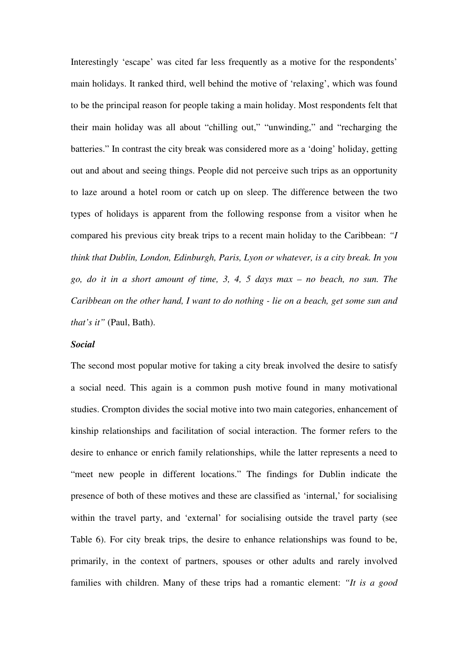Interestingly 'escape' was cited far less frequently as a motive for the respondents' main holidays. It ranked third, well behind the motive of 'relaxing', which was found to be the principal reason for people taking a main holiday. Most respondents felt that their main holiday was all about "chilling out," "unwinding," and "recharging the batteries." In contrast the city break was considered more as a 'doing' holiday, getting out and about and seeing things. People did not perceive such trips as an opportunity to laze around a hotel room or catch up on sleep. The difference between the two types of holidays is apparent from the following response from a visitor when he compared his previous city break trips to a recent main holiday to the Caribbean: *"I think that Dublin, London, Edinburgh, Paris, Lyon or whatever, is a city break. In you go, do it in a short amount of time, 3, 4, 5 days max – no beach, no sun. The Caribbean on the other hand, I want to do nothing - lie on a beach, get some sun and that's it"* (Paul, Bath).

# *Social*

The second most popular motive for taking a city break involved the desire to satisfy a social need. This again is a common push motive found in many motivational studies. Crompton divides the social motive into two main categories, enhancement of kinship relationships and facilitation of social interaction. The former refers to the desire to enhance or enrich family relationships, while the latter represents a need to "meet new people in different locations." The findings for Dublin indicate the presence of both of these motives and these are classified as 'internal,' for socialising within the travel party, and 'external' for socialising outside the travel party (see Table 6). For city break trips, the desire to enhance relationships was found to be, primarily, in the context of partners, spouses or other adults and rarely involved families with children. Many of these trips had a romantic element: *"It is a good*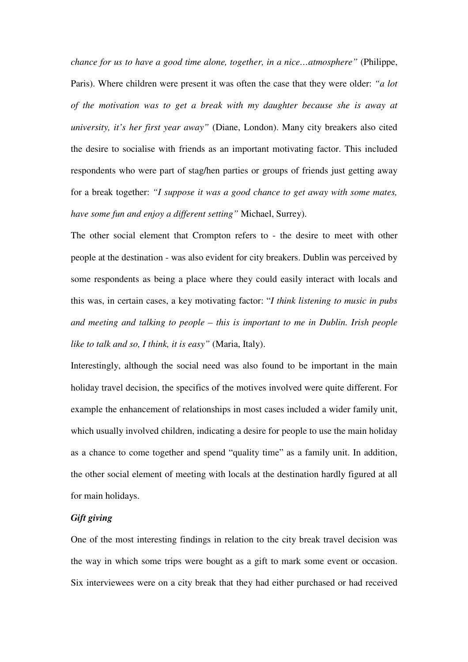*chance for us to have a good time alone, together, in a nice…atmosphere"* (Philippe, Paris). Where children were present it was often the case that they were older: *"a lot of the motivation was to get a break with my daughter because she is away at university, it's her first year away"* (Diane, London). Many city breakers also cited the desire to socialise with friends as an important motivating factor. This included respondents who were part of stag/hen parties or groups of friends just getting away for a break together: *"I suppose it was a good chance to get away with some mates, have some fun and enjoy a different setting"* Michael, Surrey).

The other social element that Crompton refers to - the desire to meet with other people at the destination - was also evident for city breakers. Dublin was perceived by some respondents as being a place where they could easily interact with locals and this was, in certain cases, a key motivating factor: "*I think listening to music in pubs and meeting and talking to people – this is important to me in Dublin. Irish people like to talk and so, I think, it is easy"* (Maria, Italy).

Interestingly, although the social need was also found to be important in the main holiday travel decision, the specifics of the motives involved were quite different. For example the enhancement of relationships in most cases included a wider family unit, which usually involved children, indicating a desire for people to use the main holiday as a chance to come together and spend "quality time" as a family unit. In addition, the other social element of meeting with locals at the destination hardly figured at all for main holidays.

# *Gift giving*

One of the most interesting findings in relation to the city break travel decision was the way in which some trips were bought as a gift to mark some event or occasion. Six interviewees were on a city break that they had either purchased or had received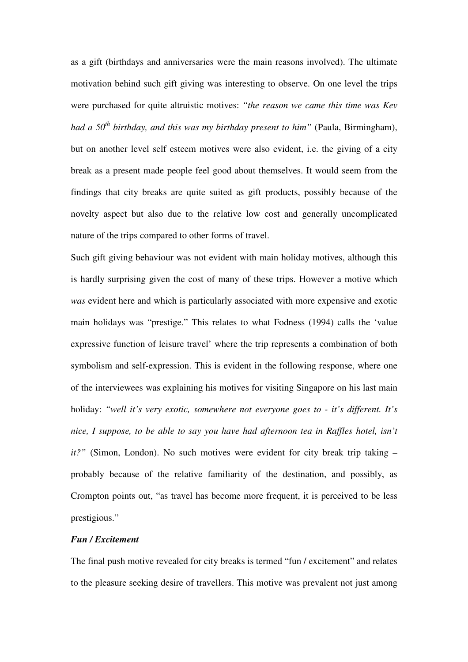as a gift (birthdays and anniversaries were the main reasons involved). The ultimate motivation behind such gift giving was interesting to observe. On one level the trips were purchased for quite altruistic motives: *"the reason we came this time was Kev had a 50th birthday, and this was my birthday present to him"* (Paula, Birmingham), but on another level self esteem motives were also evident, i.e. the giving of a city break as a present made people feel good about themselves. It would seem from the findings that city breaks are quite suited as gift products, possibly because of the novelty aspect but also due to the relative low cost and generally uncomplicated nature of the trips compared to other forms of travel.

Such gift giving behaviour was not evident with main holiday motives, although this is hardly surprising given the cost of many of these trips. However a motive which *was* evident here and which is particularly associated with more expensive and exotic main holidays was "prestige." This relates to what Fodness (1994) calls the 'value expressive function of leisure travel' where the trip represents a combination of both symbolism and self-expression. This is evident in the following response, where one of the interviewees was explaining his motives for visiting Singapore on his last main holiday: *"well it's very exotic, somewhere not everyone goes to - it's different. It's nice, I suppose, to be able to say you have had afternoon tea in Raffles hotel, isn't it?"* (Simon, London). No such motives were evident for city break trip taking – probably because of the relative familiarity of the destination, and possibly, as Crompton points out, "as travel has become more frequent, it is perceived to be less prestigious."

# *Fun / Excitement*

The final push motive revealed for city breaks is termed "fun / excitement" and relates to the pleasure seeking desire of travellers. This motive was prevalent not just among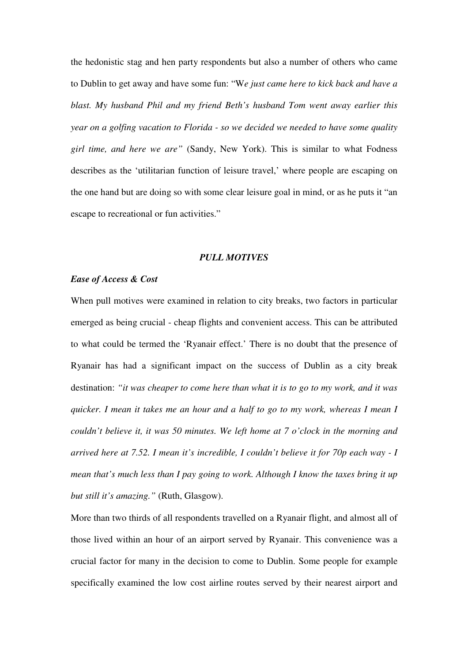the hedonistic stag and hen party respondents but also a number of others who came to Dublin to get away and have some fun: "W*e just came here to kick back and have a blast. My husband Phil and my friend Beth's husband Tom went away earlier this year on a golfing vacation to Florida - so we decided we needed to have some quality girl time, and here we are"* (Sandy, New York). This is similar to what Fodness describes as the 'utilitarian function of leisure travel,' where people are escaping on the one hand but are doing so with some clear leisure goal in mind, or as he puts it "an escape to recreational or fun activities."

## *PULL MOTIVES*

# *Ease of Access & Cost*

When pull motives were examined in relation to city breaks, two factors in particular emerged as being crucial - cheap flights and convenient access. This can be attributed to what could be termed the 'Ryanair effect.' There is no doubt that the presence of Ryanair has had a significant impact on the success of Dublin as a city break destination: *"it was cheaper to come here than what it is to go to my work, and it was quicker. I mean it takes me an hour and a half to go to my work, whereas I mean I couldn't believe it, it was 50 minutes. We left home at 7 o'clock in the morning and arrived here at 7.52. I mean it's incredible, I couldn't believe it for 70p each way - I mean that's much less than I pay going to work. Although I know the taxes bring it up but still it's amazing."* (Ruth, Glasgow).

More than two thirds of all respondents travelled on a Ryanair flight, and almost all of those lived within an hour of an airport served by Ryanair. This convenience was a crucial factor for many in the decision to come to Dublin. Some people for example specifically examined the low cost airline routes served by their nearest airport and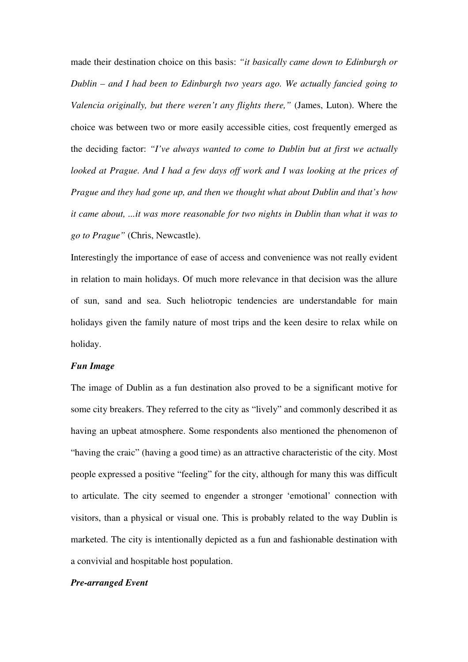made their destination choice on this basis: *"it basically came down to Edinburgh or Dublin – and I had been to Edinburgh two years ago. We actually fancied going to Valencia originally, but there weren't any flights there,"* (James, Luton). Where the choice was between two or more easily accessible cities, cost frequently emerged as the deciding factor: *"I've always wanted to come to Dublin but at first we actually looked at Prague. And I had a few days off work and I was looking at the prices of Prague and they had gone up, and then we thought what about Dublin and that's how it came about, ...it was more reasonable for two nights in Dublin than what it was to go to Prague"* (Chris, Newcastle).

Interestingly the importance of ease of access and convenience was not really evident in relation to main holidays. Of much more relevance in that decision was the allure of sun, sand and sea. Such heliotropic tendencies are understandable for main holidays given the family nature of most trips and the keen desire to relax while on holiday.

#### *Fun Image*

The image of Dublin as a fun destination also proved to be a significant motive for some city breakers. They referred to the city as "lively" and commonly described it as having an upbeat atmosphere. Some respondents also mentioned the phenomenon of "having the craic" (having a good time) as an attractive characteristic of the city. Most people expressed a positive "feeling" for the city, although for many this was difficult to articulate. The city seemed to engender a stronger 'emotional' connection with visitors, than a physical or visual one. This is probably related to the way Dublin is marketed. The city is intentionally depicted as a fun and fashionable destination with a convivial and hospitable host population.

# *Pre-arranged Event*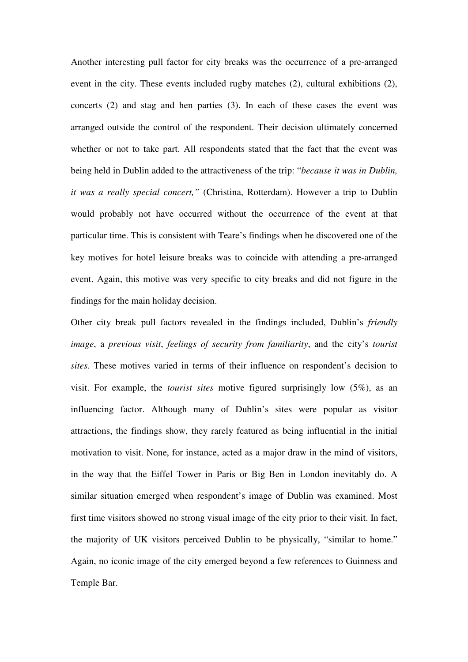Another interesting pull factor for city breaks was the occurrence of a pre-arranged event in the city. These events included rugby matches (2), cultural exhibitions (2), concerts (2) and stag and hen parties (3). In each of these cases the event was arranged outside the control of the respondent. Their decision ultimately concerned whether or not to take part. All respondents stated that the fact that the event was being held in Dublin added to the attractiveness of the trip: "*because it was in Dublin, it was a really special concert,"* (Christina, Rotterdam). However a trip to Dublin would probably not have occurred without the occurrence of the event at that particular time. This is consistent with Teare's findings when he discovered one of the key motives for hotel leisure breaks was to coincide with attending a pre-arranged event. Again, this motive was very specific to city breaks and did not figure in the findings for the main holiday decision.

Other city break pull factors revealed in the findings included, Dublin's *friendly image*, a *previous visit*, *feelings of security from familiarity*, and the city's *tourist sites*. These motives varied in terms of their influence on respondent's decision to visit. For example, the *tourist sites* motive figured surprisingly low (5%), as an influencing factor. Although many of Dublin's sites were popular as visitor attractions, the findings show, they rarely featured as being influential in the initial motivation to visit. None, for instance, acted as a major draw in the mind of visitors, in the way that the Eiffel Tower in Paris or Big Ben in London inevitably do. A similar situation emerged when respondent's image of Dublin was examined. Most first time visitors showed no strong visual image of the city prior to their visit. In fact, the majority of UK visitors perceived Dublin to be physically, "similar to home." Again, no iconic image of the city emerged beyond a few references to Guinness and Temple Bar.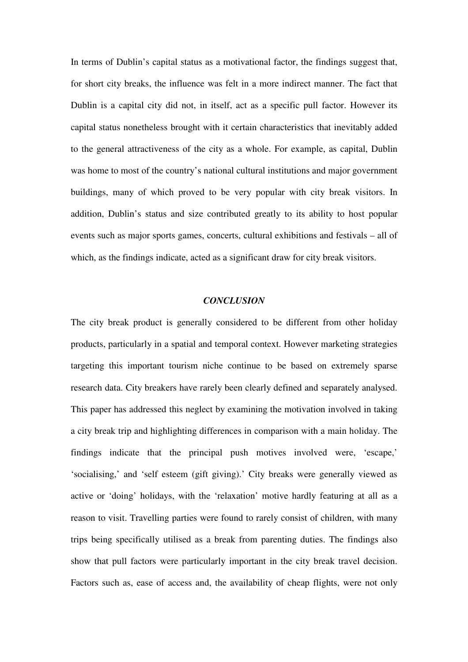In terms of Dublin's capital status as a motivational factor, the findings suggest that, for short city breaks, the influence was felt in a more indirect manner. The fact that Dublin is a capital city did not, in itself, act as a specific pull factor. However its capital status nonetheless brought with it certain characteristics that inevitably added to the general attractiveness of the city as a whole. For example, as capital, Dublin was home to most of the country's national cultural institutions and major government buildings, many of which proved to be very popular with city break visitors. In addition, Dublin's status and size contributed greatly to its ability to host popular events such as major sports games, concerts, cultural exhibitions and festivals – all of which, as the findings indicate, acted as a significant draw for city break visitors.

## *CONCLUSION*

The city break product is generally considered to be different from other holiday products, particularly in a spatial and temporal context. However marketing strategies targeting this important tourism niche continue to be based on extremely sparse research data. City breakers have rarely been clearly defined and separately analysed. This paper has addressed this neglect by examining the motivation involved in taking a city break trip and highlighting differences in comparison with a main holiday. The findings indicate that the principal push motives involved were, 'escape,' 'socialising,' and 'self esteem (gift giving).' City breaks were generally viewed as active or 'doing' holidays, with the 'relaxation' motive hardly featuring at all as a reason to visit. Travelling parties were found to rarely consist of children, with many trips being specifically utilised as a break from parenting duties. The findings also show that pull factors were particularly important in the city break travel decision. Factors such as, ease of access and, the availability of cheap flights, were not only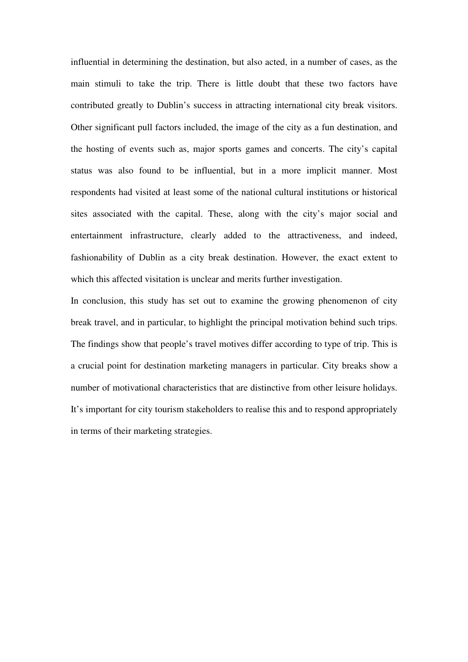influential in determining the destination, but also acted, in a number of cases, as the main stimuli to take the trip. There is little doubt that these two factors have contributed greatly to Dublin's success in attracting international city break visitors. Other significant pull factors included, the image of the city as a fun destination, and the hosting of events such as, major sports games and concerts. The city's capital status was also found to be influential, but in a more implicit manner. Most respondents had visited at least some of the national cultural institutions or historical sites associated with the capital. These, along with the city's major social and entertainment infrastructure, clearly added to the attractiveness, and indeed, fashionability of Dublin as a city break destination. However, the exact extent to which this affected visitation is unclear and merits further investigation.

In conclusion, this study has set out to examine the growing phenomenon of city break travel, and in particular, to highlight the principal motivation behind such trips. The findings show that people's travel motives differ according to type of trip. This is a crucial point for destination marketing managers in particular. City breaks show a number of motivational characteristics that are distinctive from other leisure holidays. It's important for city tourism stakeholders to realise this and to respond appropriately in terms of their marketing strategies.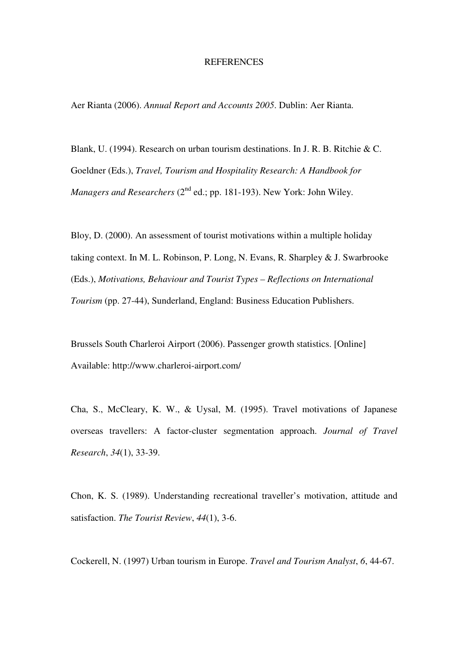#### **REFERENCES**

Aer Rianta (2006). *Annual Report and Accounts 2005*. Dublin: Aer Rianta.

Blank, U. (1994). Research on urban tourism destinations. In J. R. B. Ritchie & C. Goeldner (Eds.), *Travel, Tourism and Hospitality Research: A Handbook for Managers and Researchers* (2<sup>nd</sup> ed.; pp. 181-193). New York: John Wiley.

Bloy, D. (2000). An assessment of tourist motivations within a multiple holiday taking context. In M. L. Robinson, P. Long, N. Evans, R. Sharpley & J. Swarbrooke (Eds.), *Motivations, Behaviour and Tourist Types – Reflections on International Tourism* (pp. 27-44), Sunderland, England: Business Education Publishers.

Brussels South Charleroi Airport (2006). Passenger growth statistics. [Online] Available: http://www.charleroi-airport.com/

Cha, S., McCleary, K. W., & Uysal, M. (1995). Travel motivations of Japanese overseas travellers: A factor-cluster segmentation approach. *Journal of Travel Research*, *34*(1), 33-39.

Chon, K. S. (1989). Understanding recreational traveller's motivation, attitude and satisfaction. *The Tourist Review*, *44*(1), 3-6.

Cockerell, N. (1997) Urban tourism in Europe. *Travel and Tourism Analyst*, *6*, 44-67.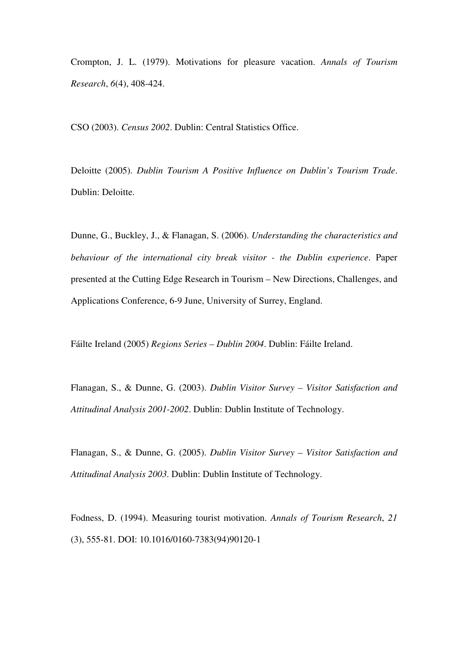Crompton, J. L. (1979). Motivations for pleasure vacation. *Annals of Tourism Research*, *6*(4), 408-424.

CSO (2003). *Census 2002*. Dublin: Central Statistics Office.

Deloitte (2005). *Dublin Tourism A Positive Influence on Dublin's Tourism Trade*. Dublin: Deloitte.

Dunne, G., Buckley, J., & Flanagan, S. (2006). *Understanding the characteristics and behaviour of the international city break visitor - the Dublin experience*. Paper presented at the Cutting Edge Research in Tourism – New Directions, Challenges, and Applications Conference, 6-9 June, University of Surrey, England.

Fáilte Ireland (2005) *Regions Series – Dublin 2004*. Dublin: Fáilte Ireland.

Flanagan, S., & Dunne, G. (2003). *Dublin Visitor Survey – Visitor Satisfaction and Attitudinal Analysis 2001-2002*. Dublin: Dublin Institute of Technology.

Flanagan, S., & Dunne, G. (2005). *Dublin Visitor Survey – Visitor Satisfaction and Attitudinal Analysis 2003*. Dublin: Dublin Institute of Technology.

Fodness, D. (1994). Measuring tourist motivation. *Annals of Tourism Research*, *21* (3), 555-81. DOI: 10.1016/0160-7383(94)90120-1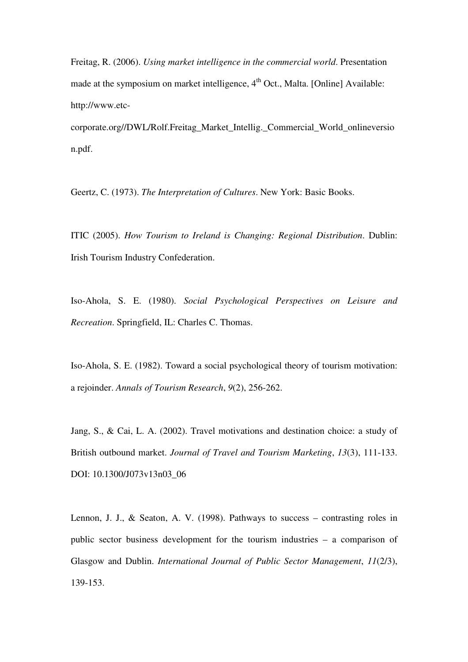Freitag, R. (2006). *Using market intelligence in the commercial world*. Presentation made at the symposium on market intelligence,  $4<sup>th</sup>$  Oct., Malta. [Online] Available: http://www.etc-

corporate.org//DWL/Rolf.Freitag\_Market\_Intellig.\_Commercial\_World\_onlineversio n.pdf.

Geertz, C. (1973). *The Interpretation of Cultures*. New York: Basic Books.

ITIC (2005). *How Tourism to Ireland is Changing: Regional Distribution*. Dublin: Irish Tourism Industry Confederation.

Iso-Ahola, S. E. (1980). *Social Psychological Perspectives on Leisure and Recreation*. Springfield, IL: Charles C. Thomas.

Iso-Ahola, S. E. (1982). Toward a social psychological theory of tourism motivation: a rejoinder. *Annals of Tourism Research*, *9*(2), 256-262.

Jang, S., & Cai, L. A. (2002). Travel motivations and destination choice: a study of British outbound market. *Journal of Travel and Tourism Marketing*, *13*(3), 111-133. DOI: 10.1300/J073v13n03\_06

Lennon, J. J., & Seaton, A. V. (1998). Pathways to success – contrasting roles in public sector business development for the tourism industries – a comparison of Glasgow and Dublin. *International Journal of Public Sector Management*, *11*(2/3), 139-153.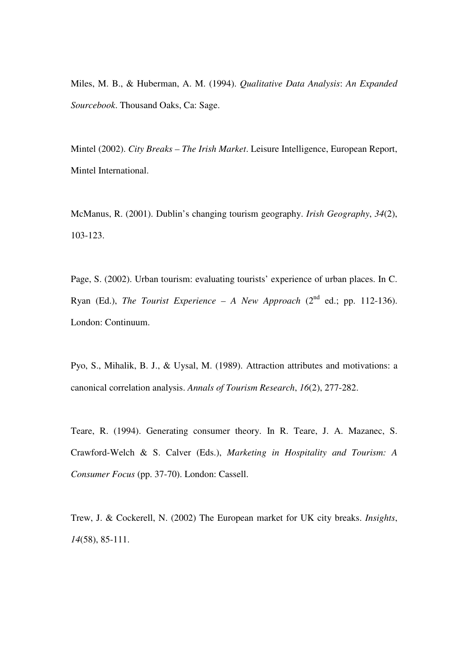Miles, M. B., & Huberman, A. M. (1994). *Qualitative Data Analysis*: *An Expanded Sourcebook*. Thousand Oaks, Ca: Sage.

Mintel (2002). *City Breaks – The Irish Market*. Leisure Intelligence, European Report, Mintel International.

McManus, R. (2001). Dublin's changing tourism geography. *Irish Geography*, *34*(2), 103-123.

Page, S. (2002). Urban tourism: evaluating tourists' experience of urban places. In C. Ryan (Ed.), *The Tourist Experience – A New Approach* ( $2<sup>nd</sup>$  ed.; pp. 112-136). London: Continuum.

Pyo, S., Mihalik, B. J., & Uysal, M. (1989). Attraction attributes and motivations: a canonical correlation analysis. *Annals of Tourism Research*, *16*(2), 277-282.

Teare, R. (1994). Generating consumer theory. In R. Teare, J. A. Mazanec, S. Crawford-Welch & S. Calver (Eds.), *Marketing in Hospitality and Tourism: A Consumer Focus* (pp. 37-70). London: Cassell.

Trew, J. & Cockerell, N. (2002) The European market for UK city breaks. *Insights*, *14*(58), 85-111.